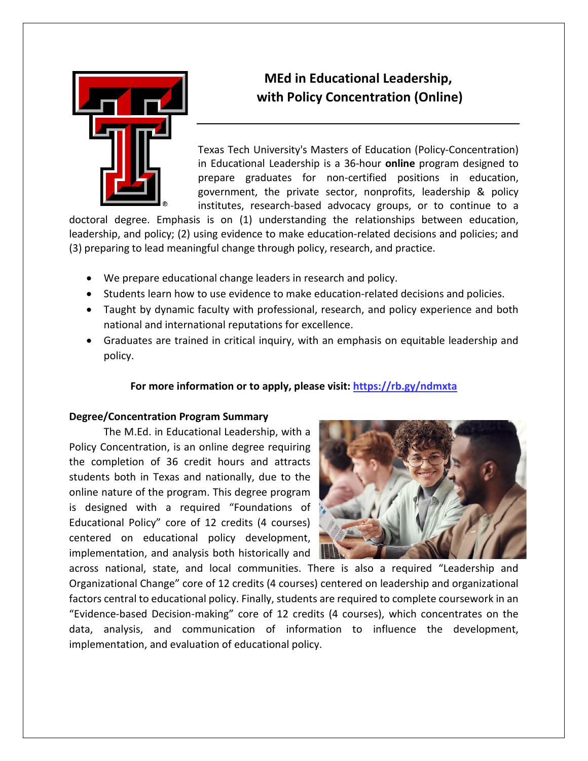

# **MEd in Educational Leadership, with Policy Concentration (Online)**

Texas Tech University's Masters of Education (Policy-Concentration) in Educational Leadership is a 36-hour **online** program designed to prepare graduates for non-certified positions in education, government, the private sector, nonprofits, leadership & policy institutes, research-based advocacy groups, or to continue to a

doctoral degree. Emphasis is on (1) understanding the relationships between education, leadership, and policy; (2) using evidence to make education-related decisions and policies; and (3) preparing to lead meaningful change through policy, research, and practice.

- We prepare educational change leaders in research and policy.
- Students learn how to use evidence to make education-related decisions and policies.
- Taught by dynamic faculty with professional, research, and policy experience and both national and international reputations for excellence.
- Graduates are trained in critical inquiry, with an emphasis on equitable leadership and policy.

### **For more information or to apply, please visit: https://rb.gy/ndmxta**

#### **Degree/Concentration Program Summary**

The M.Ed. in Educational Leadership, with a Policy Concentration, is an online degree requiring the completion of 36 credit hours and attracts students both in Texas and nationally, due to the online nature of the program. This degree program is designed with a required "Foundations of Educational Policy" core of 12 credits (4 courses) centered on educational policy development, implementation, and analysis both historically and



across national, state, and local communities. There is also a required "Leadership and Organizational Change" core of 12 credits (4 courses) centered on leadership and organizational factors central to educational policy. Finally, students are required to complete coursework in an "Evidence-based Decision-making" core of 12 credits (4 courses), which concentrates on the data, analysis, and communication of information to influence the development, implementation, and evaluation of educational policy.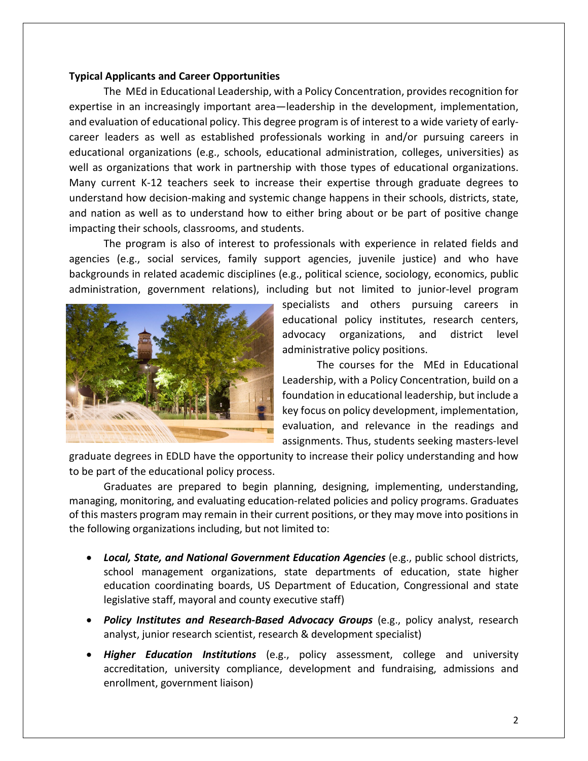#### **Typical Applicants and Career Opportunities**

The MEd in Educational Leadership, with a Policy Concentration, provides recognition for expertise in an increasingly important area—leadership in the development, implementation, and evaluation of educational policy. This degree program is of interest to a wide variety of earlycareer leaders as well as established professionals working in and/or pursuing careers in educational organizations (e.g., schools, educational administration, colleges, universities) as well as organizations that work in partnership with those types of educational organizations. Many current K-12 teachers seek to increase their expertise through graduate degrees to understand how decision-making and systemic change happens in their schools, districts, state, and nation as well as to understand how to either bring about or be part of positive change impacting their schools, classrooms, and students.

The program is also of interest to professionals with experience in related fields and agencies (e.g., social services, family support agencies, juvenile justice) and who have backgrounds in related academic disciplines (e.g., political science, sociology, economics, public administration, government relations), including but not limited to junior-level program



specialists and others pursuing careers in educational policy institutes, research centers, advocacy organizations, and district level administrative policy positions.

The courses for the MEd in Educational Leadership, with a Policy Concentration, build on a foundation in educational leadership, but include a key focus on policy development, implementation, evaluation, and relevance in the readings and assignments. Thus, students seeking masters-level

graduate degrees in EDLD have the opportunity to increase their policy understanding and how to be part of the educational policy process.

Graduates are prepared to begin planning, designing, implementing, understanding, managing, monitoring, and evaluating education-related policies and policy programs. Graduates of this masters program may remain in their current positions, or they may move into positions in the following organizations including, but not limited to:

- *Local, State, and National Government Education Agencies* (e.g., public school districts, school management organizations, state departments of education, state higher education coordinating boards, US Department of Education, Congressional and state legislative staff, mayoral and county executive staff)
- *Policy Institutes and Research-Based Advocacy Groups* (e.g., policy analyst, research analyst, junior research scientist, research & development specialist)
- *Higher Education Institutions* (e.g., policy assessment, college and university accreditation, university compliance, development and fundraising, admissions and enrollment, government liaison)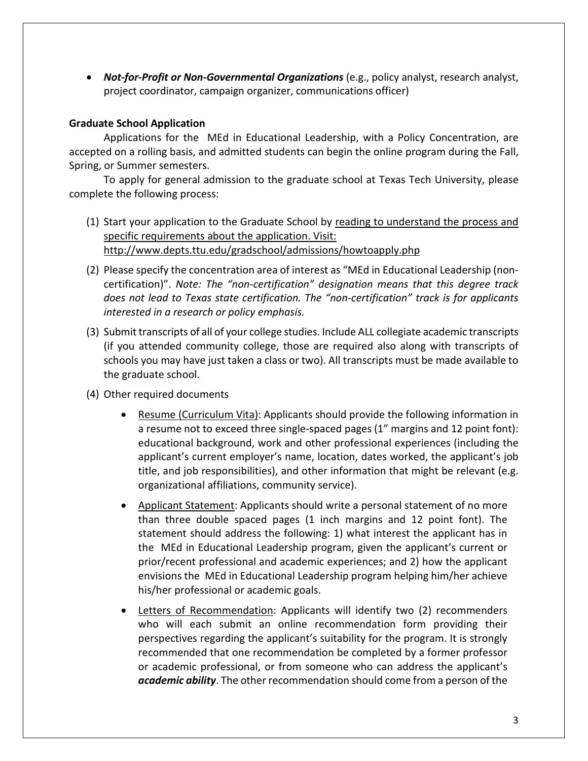• *Not-for-Profit or Non-Governmental Organizations* (e.g., policy analyst, research analyst, project coordinator, campaign organizer, communications officer)

## **Graduate School Application**

Applications for the MEd in Educational Leadership, with a Policy Concentration, are accepted on a rolling basis, and admitted students can begin the online program during the Fall, Spring, or Summer semesters.

To apply for general admission to the graduate school at Texas Tech University, please complete the following process:

- (1) Start your application to the Graduate School by reading to understand the process and specific requirements about the application. Visit: <http://www.depts.ttu.edu/gradschool/admissions/howtoapply.php>
- (2) Please specify the concentration area of interest as "MEd in Educational Leadership (noncertification)". *Note: The "non-certification" designation means that this degree track does not lead to Texas state certification. The "non-certification" track is for applicants interested in a research or policy emphasis.*
- (3) Submit transcripts of all of your college studies. Include ALL collegiate academic transcripts (if you attended community college, those are required also along with transcripts of schools you may have just taken a class or two). All transcripts must be made available to the graduate school.
- (4) Other required documents
	- Resume (Curriculum Vita): Applicants should provide the following information in a resume not to exceed three single-spaced pages (1" margins and 12 point font): educational background, work and other professional experiences (including the applicant's current employer's name, location, dates worked, the applicant's job title, and job responsibilities), and other information that might be relevant (e.g. organizational affiliations, community service).
	- Applicant Statement: Applicants should write a personal statement of no more than three double spaced pages (1 inch margins and 12 point font). The statement should address the following: 1) what interest the applicant has in the MEd in Educational Leadership program, given the applicant's current or prior/recent professional and academic experiences; and 2) how the applicant envisions the MEd in Educational Leadership program helping him/her achieve his/her professional or academic goals.
	- Letters of Recommendation: Applicants will identify two (2) recommenders who will each submit an online recommendation form providing their perspectives regarding the applicant's suitability for the program. It is strongly recommended that one recommendation be completed by a former professor or academic professional, or from someone who can address the applicant's *academic ability*. The other recommendation should come from a person of the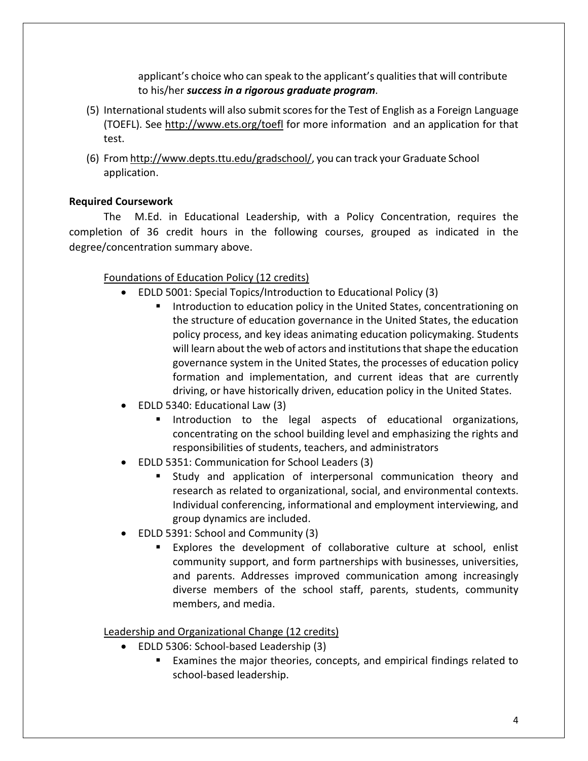applicant's choice who can speak to the applicant's qualities that will contribute to his/her *success in a rigorous graduate program*.

- (5) International students will also submit scores for the Test of English as a Foreign Language (TOEFL). See <http://www.ets.org/toefl> for more information and an application for that test.
- (6) Fro[m http://www.depts.ttu.edu/gradschool/,](http://www.depts.ttu.edu/gradschool/) you can track your Graduate School application.

# **Required Coursework**

The M.Ed. in Educational Leadership, with a Policy Concentration, requires the completion of 36 credit hours in the following courses, grouped as indicated in the degree/concentration summary above.

# Foundations of Education Policy (12 credits)

- EDLD 5001: Special Topics/Introduction to Educational Policy (3)
	- Introduction to education policy in the United States, concentrationing on the structure of education governance in the United States, the education policy process, and key ideas animating education policymaking. Students will learn about the web of actors and institutions that shape the education governance system in the United States, the processes of education policy formation and implementation, and current ideas that are currently driving, or have historically driven, education policy in the United States.
- EDLD 5340: Educational Law (3)
	- **Introduction to the legal aspects of educational organizations,** concentrating on the school building level and emphasizing the rights and responsibilities of students, teachers, and administrators
- EDLD 5351: Communication for School Leaders (3)
	- Study and application of interpersonal communication theory and research as related to organizational, social, and environmental contexts. Individual conferencing, informational and employment interviewing, and group dynamics are included.
- EDLD 5391: School and Community (3)
	- Explores the development of collaborative culture at school, enlist community support, and form partnerships with businesses, universities, and parents. Addresses improved communication among increasingly diverse members of the school staff, parents, students, community members, and media.

# Leadership and Organizational Change (12 credits)

- EDLD 5306: School-based Leadership (3)
	- Examines the major theories, concepts, and empirical findings related to school-based leadership.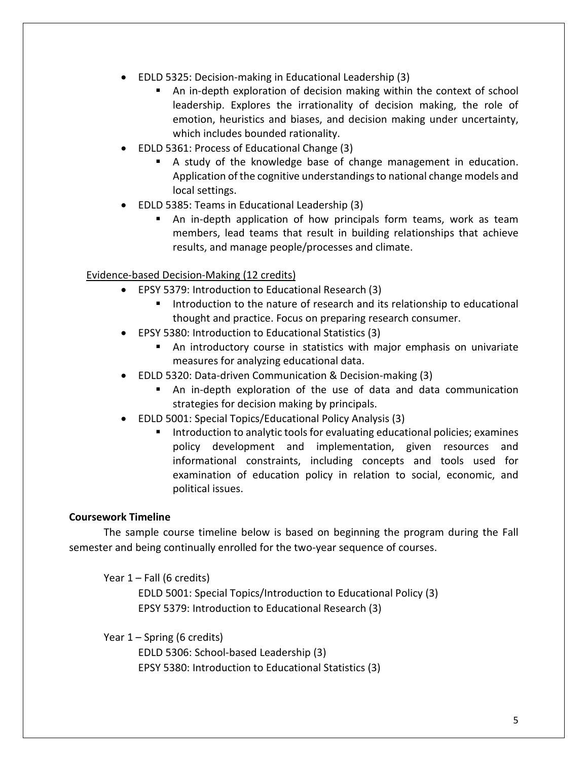- EDLD 5325: Decision-making in Educational Leadership (3)
	- An in-depth exploration of decision making within the context of school leadership. Explores the irrationality of decision making, the role of emotion, heuristics and biases, and decision making under uncertainty, which includes bounded rationality.
- EDLD 5361: Process of Educational Change (3)
	- A study of the knowledge base of change management in education. Application of the cognitive understandings to national change models and local settings.
- EDLD 5385: Teams in Educational Leadership (3)
	- An in-depth application of how principals form teams, work as team members, lead teams that result in building relationships that achieve results, and manage people/processes and climate.

#### Evidence-based Decision-Making (12 credits)

- EPSY 5379: Introduction to Educational Research (3)
	- Introduction to the nature of research and its relationship to educational thought and practice. Focus on preparing research consumer.
- EPSY 5380: Introduction to Educational Statistics (3)
	- An introductory course in statistics with major emphasis on univariate measures for analyzing educational data.
- EDLD 5320: Data-driven Communication & Decision-making (3)
	- An in-depth exploration of the use of data and data communication strategies for decision making by principals.
- EDLD 5001: Special Topics/Educational Policy Analysis (3)
	- Introduction to analytic tools for evaluating educational policies; examines policy development and implementation, given resources and informational constraints, including concepts and tools used for examination of education policy in relation to social, economic, and political issues.

#### **Coursework Timeline**

The sample course timeline below is based on beginning the program during the Fall semester and being continually enrolled for the two-year sequence of courses.

Year 1 – Fall (6 credits) EDLD 5001: Special Topics/Introduction to Educational Policy (3) EPSY 5379: Introduction to Educational Research (3)

Year 1 – Spring (6 credits)

EDLD 5306: School-based Leadership (3) EPSY 5380: Introduction to Educational Statistics (3)